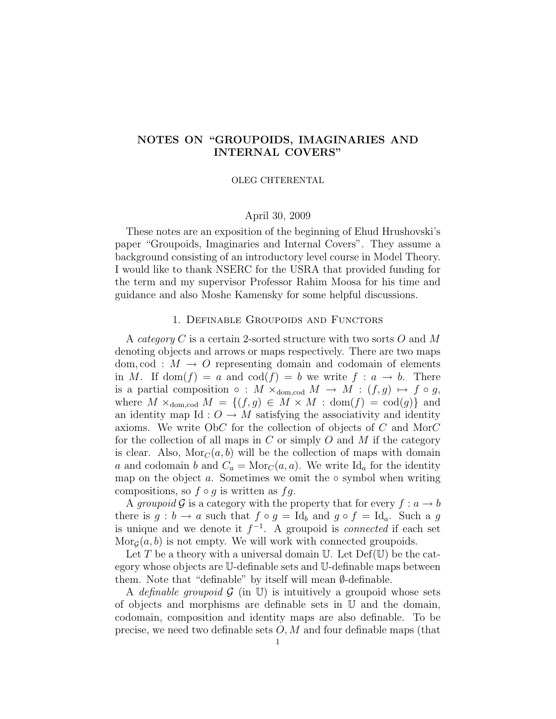# NOTES ON "GROUPOIDS, IMAGINARIES AND INTERNAL COVERS"

#### OLEG CHTERENTAL

## April 30, 2009

These notes are an exposition of the beginning of Ehud Hrushovski's paper "Groupoids, Imaginaries and Internal Covers". They assume a background consisting of an introductory level course in Model Theory. I would like to thank NSERC for the USRA that provided funding for the term and my supervisor Professor Rahim Moosa for his time and guidance and also Moshe Kamensky for some helpful discussions.

## 1. Definable Groupoids and Functors

A *category* C is a certain 2-sorted structure with two sorts O and M denoting objects and arrows or maps respectively. There are two maps dom, cod :  $M \rightarrow O$  representing domain and codomain of elements in M. If dom $(f) = a$  and  $\text{cod}(f) = b$  we write  $f : a \to b$ . There is a partial composition  $\circ$  :  $M \times_{\text{dom, cod}} M \to M$  :  $(f, g) \mapsto f \circ g$ , where  $M \times_{\text{dom, cod}} M = \{(f, g) \in M \times M : \text{dom}(f) = \text{cod}(g)\}\$ and an identity map Id :  $O \rightarrow M$  satisfying the associativity and identity axioms. We write ObC for the collection of objects of C and MorC for the collection of all maps in C or simply O and M if the category is clear. Also,  $\text{Mor}_{\mathcal{C}}(a, b)$  will be the collection of maps with domain a and codomain b and  $C_a = \text{Mor}_C(a, a)$ . We write Id<sub>a</sub> for the identity map on the object  $a$ . Sometimes we omit the  $\circ$  symbol when writing compositions, so  $f \circ g$  is written as  $fg$ .

A groupoid G is a category with the property that for every  $f: a \to b$ there is  $g : b \to a$  such that  $f \circ g = \text{Id}_b$  and  $g \circ f = \text{Id}_a$ . Such a g is unique and we denote it  $f^{-1}$ . A groupoid is *connected* if each set  $\text{Mor}_{\mathcal{G}}(a, b)$  is not empty. We will work with connected groupoids.

Let T be a theory with a universal domain U. Let  $Def(U)$  be the category whose objects are U-definable sets and U-definable maps between them. Note that "definable" by itself will mean ∅-definable.

A definable groupoid  $\mathcal G$  (in U) is intuitively a groupoid whose sets of objects and morphisms are definable sets in U and the domain, codomain, composition and identity maps are also definable. To be precise, we need two definable sets  $O, M$  and four definable maps (that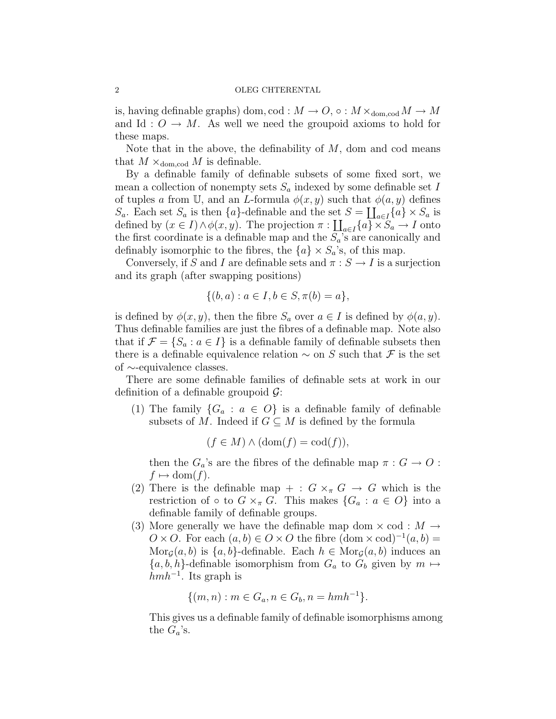is, having definable graphs) dom, cod :  $M \to O$ ,  $\circ$  :  $M \times_{\text{dom. cod}} M \to M$ and Id :  $O \rightarrow M$ . As well we need the groupoid axioms to hold for these maps.

Note that in the above, the definability of  $M$ , dom and cod means that  $M \times_{\text{dom.cod}} M$  is definable.

By a definable family of definable subsets of some fixed sort, we mean a collection of nonempty sets  $S_a$  indexed by some definable set I of tuples a from U, and an L-formula  $\phi(x, y)$  such that  $\phi(a, y)$  defines  $S_a$ . Each set  $S_a$  is then  $\{a\}$ -definable and the set  $S = \coprod_{a \in I} \{a\} \times S_a$  is defined by  $(x \in I) \wedge \phi(x, y)$ . The projection  $\pi : \coprod_{a \in I} \{a\} \times S_a \to I$  onto the first coordinate is a definable map and the  $S_a$ 's are canonically and definably isomorphic to the fibres, the  ${a} \times S_a$ 's, of this map.

Conversely, if  $S$  and  $I$  are definable sets and  $\pi:S\to I$  is a surjection and its graph (after swapping positions)

$$
\{(b, a) : a \in I, b \in S, \pi(b) = a\},\
$$

is defined by  $\phi(x, y)$ , then the fibre  $S_a$  over  $a \in I$  is defined by  $\phi(a, y)$ . Thus definable families are just the fibres of a definable map. Note also that if  $\mathcal{F} = \{S_a : a \in I\}$  is a definable family of definable subsets then there is a definable equivalence relation  $\sim$  on S such that F is the set of ∼-equivalence classes.

There are some definable families of definable sets at work in our definition of a definable groupoid  $\mathcal{G}$ :

(1) The family  ${G_a : a \in O}$  is a definable family of definable subsets of M. Indeed if  $G \subseteq M$  is defined by the formula

$$
(f \in M) \land (\text{dom}(f) = \text{cod}(f)),
$$

then the  $G_a$ 's are the fibres of the definable map  $\pi : G \to O$ :  $f \mapsto \text{dom}(f)$ .

- (2) There is the definable map + :  $G \times_{\pi} G \rightarrow G$  which is the restriction of ◦ to  $G \times_{\pi} G$ . This makes  $\{G_a : a \in O\}$  into a definable family of definable groups.
- (3) More generally we have the definable map dom  $\times$  cod :  $M \rightarrow$  $O \times O$ . For each  $(a, b) \in O \times O$  the fibre  $(\text{dom} \times \text{cod})^{-1}(a, b) =$  $\text{Mor}_{\mathcal{G}}(a, b)$  is  $\{a, b\}$ -definable. Each  $h \in \text{Mor}_{\mathcal{G}}(a, b)$  induces an  $\{a, b, h\}$ -definable isomorphism from  $G_a$  to  $G_b$  given by  $m \mapsto$  $hmh^{-1}$ . Its graph is

$$
\{(m, n) : m \in G_a, n \in G_b, n = hmh^{-1}\}.
$$

This gives us a definable family of definable isomorphisms among the  $G_a$ 's.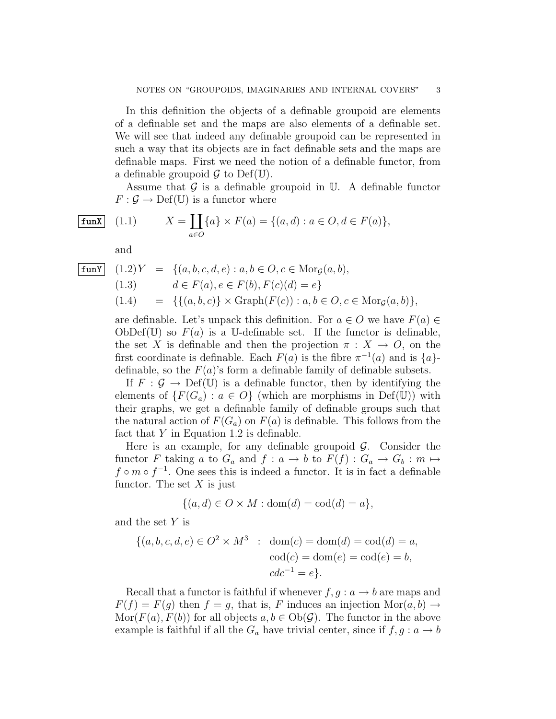In this definition the objects of a definable groupoid are elements of a definable set and the maps are also elements of a definable set. We will see that indeed any definable groupoid can be represented in such a way that its objects are in fact definable sets and the maps are definable maps. First we need the notion of a definable functor, from a definable groupoid  $\mathcal G$  to Def(U).

Assume that  $\mathcal G$  is a definable groupoid in  $\mathbb U$ . A definable functor  $F: \mathcal{G} \to \mathrm{Def}(\mathbb{U})$  is a functor where

**funX** (1.1) 
$$
X = \coprod_{a \in O} \{a\} \times F(a) = \{(a, d) : a \in O, d \in F(a)\},
$$

and

| funY    | $(1.2)Y$                                | $=$                                                                                             | $\{(a, b, c, d, e) : a, b \in O, c \in \text{Mor}_{\mathcal{G}}(a, b),$ |
|---------|-----------------------------------------|-------------------------------------------------------------------------------------------------|-------------------------------------------------------------------------|
| $(1.3)$ | $d \in F(a), e \in F(b), F(c)(d) = e\}$ |                                                                                                 |                                                                         |
| $(1.4)$ | $=$                                     | $\{(a, b, c)\} \times \text{Graph}(F(c)) : a, b \in O, c \in \text{Mor}_{\mathcal{G}}(a, b)\},$ |                                                                         |

are definable. Let's unpack this definition. For  $a \in O$  we have  $F(a) \in$ ObDef(U) so  $F(a)$  is a U-definable set. If the functor is definable, the set X is definable and then the projection  $\pi : X \to O$ , on the first coordinate is definable. Each  $F(a)$  is the fibre  $\pi^{-1}(a)$  and is  $\{a\}$ definable, so the  $F(a)$ 's form a definable family of definable subsets.

If  $F : \mathcal{G} \to \mathrm{Def}(\mathbb{U})$  is a definable functor, then by identifying the elements of  $\{F(G_a) : a \in O\}$  (which are morphisms in Def(U)) with their graphs, we get a definable family of definable groups such that the natural action of  $F(G_a)$  on  $F(a)$  is definable. This follows from the fact that  $Y$  in Equation 1.2 is definable.

Here is an example, for any definable groupoid  $\mathcal{G}$ . Consider the functor F taking a to  $G_a$  and  $f: a \to b$  to  $F(f): G_a \to G_b : m \mapsto$  $f \circ m \circ f^{-1}$ . One sees this is indeed a functor. It is in fact a definable functor. The set  $X$  is just

$$
\{(a,d)\in O\times M: \text{dom}(d)=\text{cod}(d)=a\},\
$$

and the set  $Y$  is

$$
\{(a, b, c, d, e) \in O^2 \times M^3 : \text{dom}(c) = \text{dom}(d) = \text{cod}(d) = a, \\ \text{cod}(c) = \text{dom}(e) = \text{cod}(e) = b, \\ \text{cd}c^{-1} = e\}.
$$

Recall that a functor is faithful if whenever  $f, g : a \rightarrow b$  are maps and  $F(f) = F(q)$  then  $f = q$ , that is, F induces an injection  $\text{Mor}(a, b) \rightarrow$  $\text{Mor}(F(a), F(b))$  for all objects  $a, b \in \text{Ob}(\mathcal{G})$ . The functor in the above example is faithful if all the  $G_a$  have trivial center, since if  $f, g : a \to b$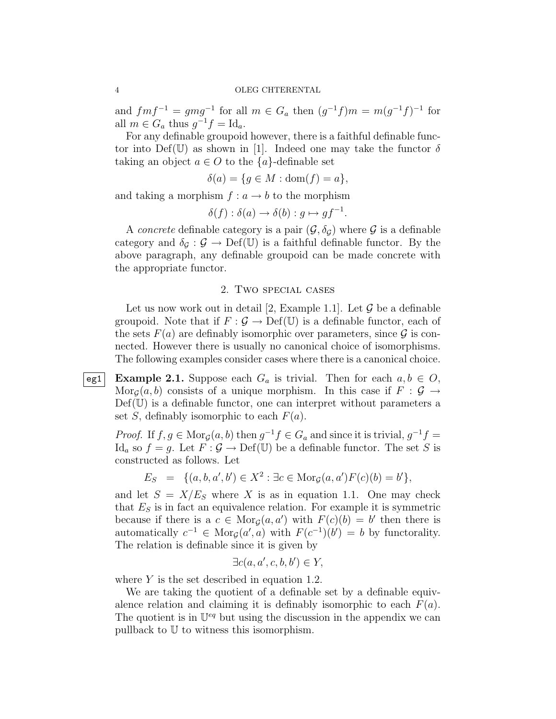and  $fmf^{-1} = gmg^{-1}$  for all  $m \in G_a$  then  $(g^{-1}f)m = m(g^{-1}f)^{-1}$  for all  $m \in G_a$  thus  $g^{-1}f = \mathrm{Id}_a$ .

For any definable groupoid however, there is a faithful definable functor into Def(U) as shown in [1]. Indeed one may take the functor  $\delta$ taking an object  $a \in O$  to the  $\{a\}$ -definable set

$$
\delta(a) = \{ g \in M : \text{dom}(f) = a \},
$$

and taking a morphism  $f: a \rightarrow b$  to the morphism

$$
\delta(f) : \delta(a) \to \delta(b) : g \mapsto gf^{-1}.
$$

A *concrete* definable category is a pair  $(\mathcal{G}, \delta_{\mathcal{G}})$  where  $\mathcal{G}$  is a definable category and  $\delta_{\mathcal{G}} : \mathcal{G} \to \mathrm{Def}(\mathbb{U})$  is a faithful definable functor. By the above paragraph, any definable groupoid can be made concrete with the appropriate functor.

## 2. Two special cases

Let us now work out in detail [2, Example 1.1]. Let  $\mathcal G$  be a definable groupoid. Note that if  $F : \mathcal{G} \to \mathrm{Def}(\mathbb{U})$  is a definable functor, each of the sets  $F(a)$  are definably isomorphic over parameters, since  $\mathcal G$  is connected. However there is usually no canonical choice of isomorphisms. The following examples consider cases where there is a canonical choice.

eg1 Example 2.1. Suppose each  $G_a$  is trivial. Then for each  $a, b \in O$ ,  $\text{Mor}_{\mathcal{G}}(a, b)$  consists of a unique morphism. In this case if  $F : \mathcal{G} \to$  $\mathrm{Def}(\mathbb{U})$  is a definable functor, one can interpret without parameters a set S, definably isomorphic to each  $F(a)$ .

*Proof.* If  $f, g \in \text{Mor}_{\mathcal{G}}(a, b)$  then  $g^{-1} f \in G_a$  and since it is trivial,  $g^{-1} f =$ Id<sub>a</sub> so  $f = g$ . Let  $F : \mathcal{G} \to \mathrm{Def}(\mathbb{U})$  be a definable functor. The set S is constructed as follows. Let

$$
E_S = \{(a, b, a', b') \in X^2 : \exists c \in \text{Mor}_{\mathcal{G}}(a, a')F(c)(b) = b'\},
$$

and let  $S = X/E<sub>S</sub>$  where X is as in equation 1.1. One may check that  $E<sub>S</sub>$  is in fact an equivalence relation. For example it is symmetric because if there is a  $c \in \text{Mor}_{\mathcal{G}}(a, a')$  with  $F(c)(b) = b'$  then there is automatically  $c^{-1} \in \text{Mor}_{\mathcal{G}}(a', a)$  with  $F(c^{-1})(b') = b$  by functorality. The relation is definable since it is given by

$$
\exists c(a, a', c, b, b') \in Y,
$$

where  $Y$  is the set described in equation 1.2.

We are taking the quotient of a definable set by a definable equivalence relation and claiming it is definably isomorphic to each  $F(a)$ . The quotient is in  $\mathbb{U}^{eq}$  but using the discussion in the appendix we can pullback to U to witness this isomorphism.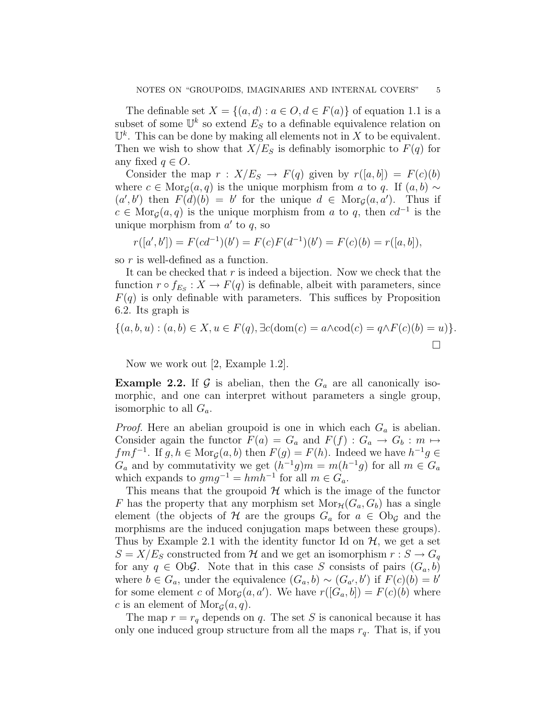The definable set  $X = \{(a, d) : a \in O, d \in F(a)\}\$  of equation 1.1 is a subset of some  $\mathbb{U}^k$  so extend  $E_S$  to a definable equivalence relation on  $\mathbb{U}^k$ . This can be done by making all elements not in X to be equivalent. Then we wish to show that  $X/E<sub>S</sub>$  is definably isomorphic to  $F(q)$  for any fixed  $q \in O$ .

Consider the map  $r : X/E<sub>S</sub> \rightarrow F(q)$  given by  $r([a, b]) = F(c)(b)$ where  $c \in \text{Mor}_{\mathcal{G}}(a, q)$  is the unique morphism from a to q. If  $(a, b) \sim$  $(a', b')$  then  $F(d)(b) = b'$  for the unique  $d \in \text{Mor}_{\mathcal{G}}(a, a')$ . Thus if  $c \in \text{Mor}_{\mathcal{G}}(a, q)$  is the unique morphism from a to q, then  $cd^{-1}$  is the unique morphism from  $a'$  to  $q$ , so

$$
r([a',b']) = F(cd^{-1})(b') = F(c)F(d^{-1})(b') = F(c)(b) = r([a,b]),
$$

so r is well-defined as a function.

It can be checked that  $r$  is indeed a bijection. Now we check that the function  $r \circ f_{E_S}: X \to F(q)$  is definable, albeit with parameters, since  $F(q)$  is only definable with parameters. This suffices by Proposition 6.2. Its graph is

$$
\{(a,b,u) : (a,b) \in X, u \in F(q), \exists c(\text{dom}(c) = a \land \text{cod}(c) = q \land F(c)(b) = u)\}.
$$

Now we work out [2, Example 1.2].

**Example 2.2.** If  $\mathcal G$  is abelian, then the  $G_a$  are all canonically isomorphic, and one can interpret without parameters a single group, isomorphic to all  $G_a$ .

*Proof.* Here an abelian groupoid is one in which each  $G_a$  is abelian. Consider again the functor  $F(a) = G_a$  and  $F(f) : G_a \to G_b : m \mapsto$  $fmf^{-1}$ . If  $g, h \in \text{Mor}_{\mathcal{G}}(a, b)$  then  $F(g) = F(h)$ . Indeed we have  $h^{-1}g \in$  $G_a$  and by commutativity we get  $(h^{-1}g)m = m(h^{-1}g)$  for all  $m \in G_a$ which expands to  $gmg^{-1} = hmh^{-1}$  for all  $m \in G_a$ .

This means that the groupoid  $H$  which is the image of the functor F has the property that any morphism set  $Mor_{\mathcal{H}}(G_a, G_b)$  has a single element (the objects of H are the groups  $G_a$  for  $a \in \mathrm{Ob}_{\mathcal{G}}$  and the morphisms are the induced conjugation maps between these groups). Thus by Example 2.1 with the identity functor Id on  $\mathcal{H}$ , we get a set  $S = X/E<sub>S</sub>$  constructed from H and we get an isomorphism  $r : S \to G<sub>q</sub>$ for any  $q \in \text{Ob}\mathcal{G}$ . Note that in this case S consists of pairs  $(G_a, b)$ where  $b \in G_a$ , under the equivalence  $(G_a, b) \sim (G_{a'}, b')$  if  $F(c)(b) = b'$ for some element c of  $Mor_{\mathcal{G}}(a, a')$ . We have  $r([G_a, b]) = F(c)(b)$  where c is an element of  $\text{Mor}_{\mathcal{G}}(a,q)$ .

The map  $r = r_q$  depends on q. The set S is canonical because it has only one induced group structure from all the maps  $r_q$ . That is, if you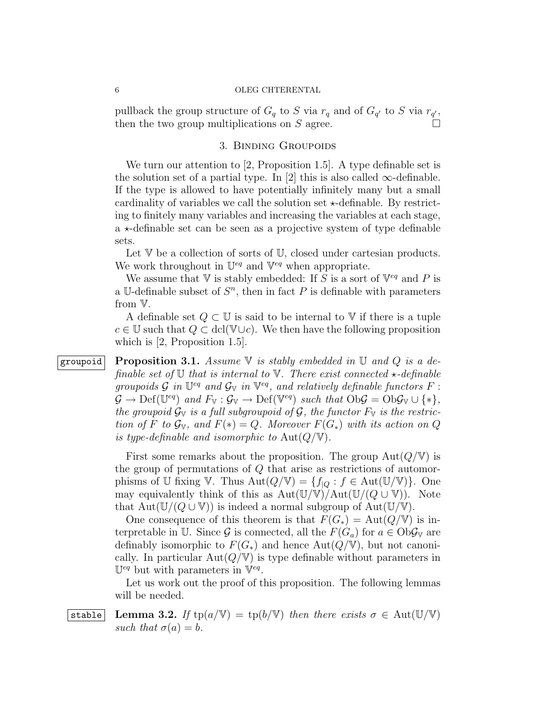pullback the group structure of  $G_q$  to S via  $r_q$  and of  $G_{q'}$  to S via  $r_{q'}$ , then the two group multiplications on S agree.

## 3. Binding Groupoids

We turn our attention to [2, Proposition 1.5]. A type definable set is the solution set of a partial type. In [2] this is also called  $\infty$ -definable. If the type is allowed to have potentially infinitely many but a small cardinality of variables we call the solution set  $\star$ -definable. By restricting to finitely many variables and increasing the variables at each stage, a  $\star$ -definable set can be seen as a projective system of type definable sets.

Let V be a collection of sorts of U, closed under cartesian products. We work throughout in  $\mathbb{U}^{eq}$  and  $\mathbb{V}^{eq}$  when appropriate.

We assume that V is stably embedded: If S is a sort of  $\mathbb{V}^{eq}$  and P is a U-definable subset of  $S<sup>n</sup>$ , then in fact P is definable with parameters from V.

A definable set  $Q \subset \mathbb{U}$  is said to be internal to  $\mathbb{V}$  if there is a tuple  $c \in \mathbb{U}$  such that  $Q \subset \text{dcl}(\mathbb{V} \cup c)$ . We then have the following proposition which is [2, Proposition 1.5].

groupoid Proposition 3.1. Assume  $\nabla$  is stably embedded in  $\nabla$  and  $Q$  is a definable set of  $\mathbb U$  that is internal to  $\mathbb V$ . There exist connected  $\star$ -definable groupoids  $\mathcal G$  in  $\mathbb{U}^{eq}$  and  $\mathcal G_{\mathbb{V}}$  in  $\mathbb{V}^{eq}$ , and relatively definable functors  $F$ :  $\mathcal{G} \to \mathrm{Def}(\mathbb{U}^{eq})$  and  $F_{\mathbb{V}} : \mathcal{G}_{\mathbb{V}} \to \mathrm{Def}(\mathbb{V}^{eq})$  such that  $\mathrm{Ob} \mathcal{G} = \mathrm{Ob} \mathcal{G}_{\mathbb{V}} \cup \{*\},$ the groupoid  $\mathcal{G}_{V}$  is a full subgroupoid of  $\mathcal{G}$ , the functor  $F_{V}$  is the restriction of F to  $\mathcal{G}_{V}$ , and  $F(*) = Q$ . Moreover  $F(G_*)$  with its action on Q is type-definable and isomorphic to  $Aut(Q/\mathbb{V})$ .

> First some remarks about the proposition. The group  $Aut(Q/V)$  is the group of permutations of Q that arise as restrictions of automorphisms of U fixing V. Thus  $Aut(Q/\mathbb{V}) = \{f_{|Q} : f \in Aut(\mathbb{U}/\mathbb{V})\}$ . One may equivalently think of this as  $Aut(\mathbb{U}/\mathbb{V})/Aut(\mathbb{U}/(Q \cup \mathbb{V}))$ . Note that  $Aut(\mathbb{U}/(Q \cup \mathbb{V}))$  is indeed a normal subgroup of  $Aut(\mathbb{U}/\mathbb{V})$ .

> One consequence of this theorem is that  $F(G_*) = Aut(Q/\mathbb{V})$  is interpretable in U. Since G is connected, all the  $F(G_a)$  for  $a \in \text{Ob}\mathcal{G}_V$  are definably isomorphic to  $F(G_*)$  and hence Aut $(Q/\mathbb{V})$ , but not canonically. In particular  $Aut(Q/\mathbb{V})$  is type definable without parameters in  $\mathbb{U}^{eq}$  but with parameters in  $\mathbb{V}^{eq}$ .

> Let us work out the proof of this proposition. The following lemmas will be needed.

# stable Lemma 3.2. If  $tp(a/\mathbb{V}) = tp(b/\mathbb{V})$  then there exists  $\sigma \in Aut(\mathbb{U}/\mathbb{V})$ such that  $\sigma(a) = b$ .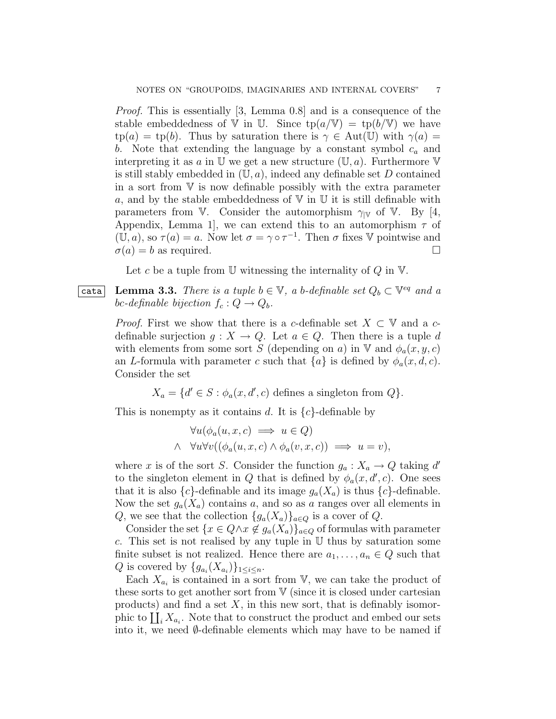Proof. This is essentially [3, Lemma 0.8] and is a consequence of the stable embeddedness of V in U. Since  $tp(a/\mathbb{V}) = tp(b/\mathbb{V})$  we have  $tp(a) = tp(b)$ . Thus by saturation there is  $\gamma \in Aut(\mathbb{U})$  with  $\gamma(a) =$ b. Note that extending the language by a constant symbol  $c_a$  and interpreting it as a in  $\mathbb U$  we get a new structure  $(\mathbb U, a)$ . Furthermore  $\mathbb V$ is still stably embedded in  $(\mathbb{U}, a)$ , indeed any definable set D contained in a sort from V is now definable possibly with the extra parameter a, and by the stable embeddedness of  $V$  in  $U$  it is still definable with parameters from V. Consider the automorphism  $\gamma_{\rm W}$  of V. By [4, Appendix, Lemma 1, we can extend this to an automorphism  $\tau$  of  $(\overline{U},a)$ , so  $\tau(a)=a$ . Now let  $\sigma=\gamma\circ\tau^{-1}$ . Then  $\sigma$  fixes V pointwise and  $\sigma(a) = b$  as required.

Let c be a tuple from  $\mathbb U$  witnessing the internality of Q in  $\mathbb V$ .

**Cata** Lemma 3.3. There is a tuple  $b \in \mathbb{V}$ , a b-definable set  $Q_b \subset \mathbb{V}^{eq}$  and a bc-definable bijection  $f_c : Q \to Q_b$ .

> *Proof.* First we show that there is a c-definable set  $X \subset V$  and a cdefinable surjection  $g: X \to Q$ . Let  $a \in Q$ . Then there is a tuple d with elements from some sort S (depending on a) in V and  $\phi_a(x, y, c)$ an L-formula with parameter c such that  ${a}$  is defined by  $\phi_a(x, d, c)$ . Consider the set

> > $X_a = \{d' \in S : \phi_a(x, d', c) \text{ defines a singleton from } Q\}.$

This is nonempty as it contains d. It is  $\{c\}$ -definable by

$$
\forall u(\phi_a(u, x, c) \implies u \in Q)
$$
  

$$
\land \forall u \forall v ((\phi_a(u, x, c) \land \phi_a(v, x, c)) \implies u = v),
$$

where x is of the sort S. Consider the function  $g_a: X_a \to Q$  taking d' to the singleton element in Q that is defined by  $\phi_a(x, d', c)$ . One sees that it is also  ${c}$ -definable and its image  $g_a(X_a)$  is thus  ${c}$ -definable. Now the set  $g_a(X_a)$  contains a, and so as a ranges over all elements in Q, we see that the collection  $\{g_a(X_a)\}_{a\in Q}$  is a cover of Q.

Consider the set  $\{x \in Q \land x \notin g_a(X_a)\}_{a \in Q}$  of formulas with parameter c. This set is not realised by any tuple in  $U$  thus by saturation some finite subset is not realized. Hence there are  $a_1, \ldots, a_n \in Q$  such that Q is covered by  $\{g_{a_i}(X_{a_i})\}_{1\leq i\leq n}$ .

Each  $X_{a_i}$  is contained in a sort from V, we can take the product of these sorts to get another sort from  $V$  (since it is closed under cartesian products) and find a set  $X$ , in this new sort, that is definably isomorphic to  $\coprod_i X_{a_i}$ . Note that to construct the product and embed our sets into it, we need  $\emptyset$ -definable elements which may have to be named if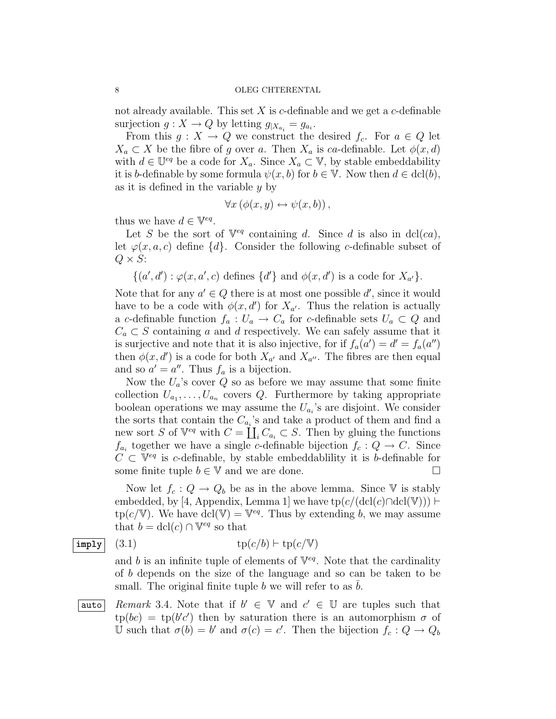not already available. This set  $X$  is c-definable and we get a c-definable surjection  $g: X \to Q$  by letting  $g_{|X_{a_i}} = g_{a_i}$ .

From this  $g: X \to Q$  we construct the desired  $f_c$ . For  $a \in Q$  let  $X_a \subset X$  be the fibre of g over a. Then  $X_a$  is ca-definable. Let  $\phi(x, d)$ with  $d \in \mathbb{U}^{eq}$  be a code for  $X_a$ . Since  $X_a \subset \mathbb{V}$ , by stable embeddability it is b-definable by some formula  $\psi(x, b)$  for  $b \in \mathbb{V}$ . Now then  $d \in \text{dcl}(b)$ , as it is defined in the variable y by

$$
\forall x (\phi(x, y) \leftrightarrow \psi(x, b)),
$$

thus we have  $d \in \mathbb{V}^{eq}$ .

Let S be the sort of  $\mathbb{V}^{eq}$  containing d. Since d is also in dcl(ca), let  $\varphi(x, a, c)$  define  $\{d\}$ . Consider the following c-definable subset of  $Q \times S$ :

$$
\{(a',d'):\varphi(x,a',c) \text{ defines } \{d'\} \text{ and } \phi(x,d') \text{ is a code for } X_{a'}\}.
$$

Note that for any  $a' \in Q$  there is at most one possible d', since it would have to be a code with  $\phi(x, d')$  for  $X_{a'}$ . Thus the relation is actually a c-definable function  $f_a: U_a \to C_a$  for c-definable sets  $U_a \subset Q$  and  $C_a \subset S$  containing a and d respectively. We can safely assume that it is surjective and note that it is also injective, for if  $f_a(a') = d' = f_a(a'')$ then  $\phi(x, d')$  is a code for both  $X_{a'}$  and  $X_{a''}$ . The fibres are then equal and so  $a' = a''$ . Thus  $f_a$  is a bijection.

Now the  $U_a$ 's cover  $Q$  so as before we may assume that some finite collection  $U_{a_1}, \ldots, U_{a_n}$  covers Q. Furthermore by taking appropriate boolean operations we may assume the  $U_{a_i}$ 's are disjoint. We consider the sorts that contain the  $C_{a_i}$ 's and take a product of them and find a new sort S of  $\mathbb{V}^{eq}$  with  $C = \coprod_i C_{a_i} \subset S$ . Then by gluing the functions  $f_{a_i}$  together we have a single c-definable bijection  $f_c: Q \to C$ . Since  $C \subset V^{eq}$  is c-definable, by stable embeddablility it is b-definable for some finite tuple  $b \in \mathbb{V}$  and we are done.

Now let  $f_c : Q \to Q_b$  be as in the above lemma. Since V is stably embedded, by [4, Appendix, Lemma 1] we have  $tp(c/(\text{dcl}(c)\cap \text{dcl}(V))) \vdash$  $tp(c/V)$ . We have  $dcl(V) = V^{eq}$ . Thus by extending b, we may assume that  $b = \text{dcl}(c) \cap \mathbb{V}^{eq}$  so that

$$
\overline{\text{imply}} \quad (3.1) \qquad \qquad \text{tp}(c/b) \vdash \text{tp}(c/\mathbb{V})
$$

and b is an infinite tuple of elements of  $V^{eq}$ . Note that the cardinality of b depends on the size of the language and so can be taken to be small. The original finite tuple  $b$  we will refer to as  $b$ .

auto Remark 3.4. Note that if  $b' \in \mathbb{V}$  and  $c' \in \mathbb{U}$  are tuples such that  $\text{tp}(bc) = \text{tp}(b'c')$  then by saturation there is an automorphism  $\sigma$  of U such that  $\sigma(b) = b'$  and  $\sigma(c) = c'$ . Then the bijection  $f_c : Q \to Q_b$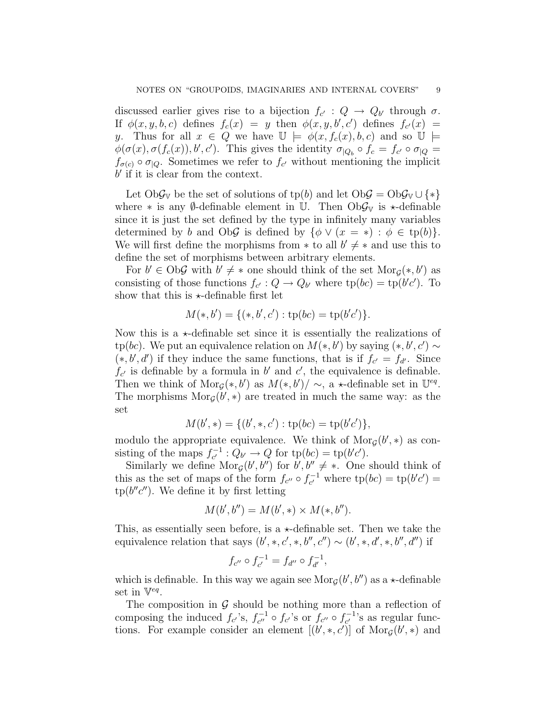discussed earlier gives rise to a bijection  $f_{c'} : Q \to Q_{b'}$  through  $\sigma$ . If  $\phi(x, y, b, c)$  defines  $f_c(x) = y$  then  $\phi(x, y, b', c')$  defines  $f_{c'}(x) =$ y. Thus for all  $x \in Q$  we have  $\mathbb{U} \models \phi(x, f_c(x), b, c)$  and so  $\mathbb{U} \models$  $\phi(\sigma(x), \sigma(f_c(x)), b', c')$ . This gives the identity  $\sigma_{|Q_b} \circ f_c = f_{c'} \circ \sigma_{|Q} =$  $f_{\sigma(c)} \circ \sigma_{\vert Q}$ . Sometimes we refer to  $f_{c'}$  without mentioning the implicit  $b'$  if it is clear from the context.

Let Ob $\mathcal{G}_{V}$  be the set of solutions of tp(b) and let Ob $\mathcal{G} = \mathrm{Ob} \mathcal{G}_{V} \cup \{*\}$ where  $*$  is any Ø-definable element in U. Then Ob $\mathcal{G}_{V}$  is  $\star$ -definable since it is just the set defined by the type in infinitely many variables determined by b and ObG is defined by  $\{\phi \vee (x = *) : \phi \in tp(b)\}.$ We will first define the morphisms from  $*$  to all  $b' \neq *$  and use this to define the set of morphisms between arbitrary elements.

For  $b' \in \text{Ob}\mathcal{G}$  with  $b' \neq *$  one should think of the set  $\text{Mor}_{\mathcal{G}}(*, b')$  as consisting of those functions  $f_{c'} : Q \to Q_{b'}$  where  $tp(bc) = tp(b'c')$ . To show that this is  $\star$ -definable first let

$$
M(*,b') = \{(*,b',c') : \text{tp}(bc) = \text{tp}(b'c')\}.
$$

Now this is a  $\star$ -definable set since it is essentially the realizations of tp(bc). We put an equivalence relation on  $M(*, b')$  by saying  $(*, b', c') \sim$  $(*, b', d')$  if they induce the same functions, that is if  $f_{c'} = f_{d'}$ . Since  $f_{c'}$  is definable by a formula in b' and c', the equivalence is definable. Then we think of  $\text{Mor}_{\mathcal{G}}(*,b')$  as  $M(*,b')/\sim$ , a  $\star$ -definable set in  $\mathbb{U}^{eq}$ . The morphisms  $\text{Mor}_{\mathcal{G}}(b',*)$  are treated in much the same way: as the set

$$
M(b',*) = \{ (b',*,c') : \text{tp}(bc) = \text{tp}(b'c') \},
$$

modulo the appropriate equivalence. We think of  $\text{Mor}_{\mathcal{G}}(b',*)$  as consisting of the maps  $f_{c'}^{-1}$  $c^{-1}: Q_{b'} \to Q \text{ for } \text{tp}(bc) = \text{tp}(b'c').$ 

Similarly we define  $\text{Mor}_{\mathcal{G}}(b', b'')$  for  $b', b'' \neq *$ . One should think of this as the set of maps of the form  $f_{c''} \circ f_{c'}^{-1}$  $t_{c'}^{-1}$  where  $tp(bc) = tp(b'c') =$  $tp(b''c'')$ . We define it by first letting

$$
M(b', b'') = M(b', *) \times M(*, b'').
$$

This, as essentially seen before, is a  $\star$ -definable set. Then we take the equivalence relation that says  $(b',*,c',*,b'',c'') \sim (b',*,d',*,b'',d'')$  if

$$
f_{c''} \circ f_{c'}^{-1} = f_{d''} \circ f_{d'}^{-1},
$$

which is definable. In this way we again see  $\text{Mor}_{\mathcal{G}}(b', b'')$  as a  $\star$ -definable set in  $\nabla^{eq}$ .

The composition in  $\mathcal G$  should be nothing more than a reflection of composing the induced  $f_{c'}$ 's,  $f_{c''}^{-1}$  $t_{c''}^{-1} \circ f_{c'}$ 's or  $f_{c''} \circ f_{c'}^{-1}$  $c^{-1}$ 's as regular functions. For example consider an element  $[(b', \ast, c')]$  of  $Mor_G(b', \ast)$  and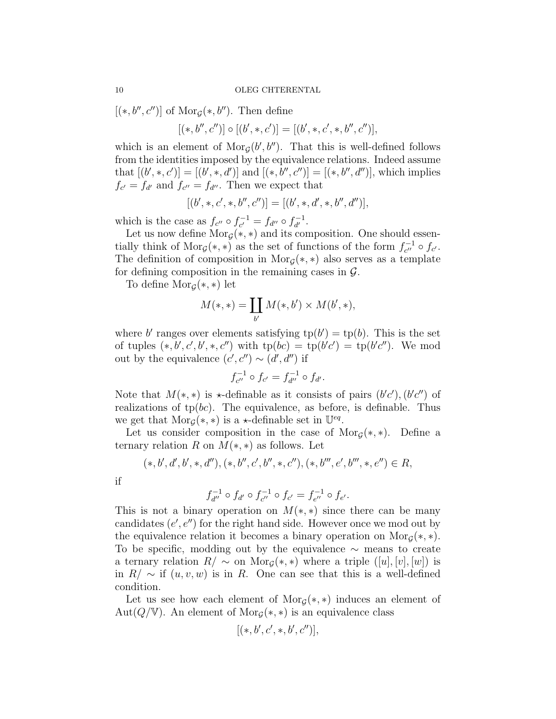$[(*, b'', c'')]$  of Mor<sub>g</sub> $(*, b'')$ . Then define

$$
[(*,b'',c'')] \circ [(b',*,c')] = [(b',*,c',*,b'',c'')],
$$

which is an element of  $\text{Mor}_{\mathcal{G}}(b', b'')$ . That this is well-defined follows from the identities imposed by the equivalence relations. Indeed assume that  $[(b',*,c')] = [(b',*,d')]$  and  $[(*,b'',c'')] = [(*,b'',d'')]$ , which implies  $f_{c'} = f_{d'}$  and  $f_{c''} = f_{d''}$ . Then we expect that

$$
[(b',*,c',*,b'',c'')] = [(b',*,d',*,b'',d'')],
$$

which is the case as  $f_{c''} \circ f_{c'}^{-1}$  $c^{-1}_{c'} = f_{d''} \circ f_{d'}^{-1}$  $\frac{1}{d'}$ .

Let us now define  $\text{Mor}_{\mathcal{G}}(*, *)$  and its composition. One should essentially think of Mor<sub>G</sub>(\*, \*) as the set of functions of the form  $f_{c}^{-1}$  $c''$   $\circ$   $f_{c'}$ . The definition of composition in Mor<sub>G</sub>(\*, \*) also serves as a template for defining composition in the remaining cases in  $\mathcal{G}$ .

To define  $\text{Mor}_{\mathcal{G}}(*, *)$  let

$$
M(*,*) = \coprod_{b'} M(*,b') \times M(b',*),
$$

where b' ranges over elements satisfying  $tp(b') = tp(b)$ . This is the set of tuples  $(*, b', c', b', *, c'')$  with  $tp(bc) = tp(b'c') = tp(b'c'')$ . We mod out by the equivalence  $(c', c'') \sim (d', d'')$  if

$$
f_{c''}^{-1} \circ f_{c'} = f_{d''}^{-1} \circ f_{d'}.
$$

Note that  $M(*,*)$  is  $\star$ -definable as it consists of pairs  $(b'c'), (b'c'')$  of realizations of  $tp(bc)$ . The equivalence, as before, is definable. Thus we get that  $\text{Mor}_{\mathcal{G}}(*, *)$  is a  $\star$ -definable set in  $\mathbb{U}^{eq}$ .

Let us consider composition in the case of  $\text{Mor}_{\mathcal{G}}(*, *)$ . Define a ternary relation R on  $M(*,*)$  as follows. Let

$$
(*,b',d',b',*,d''),(*,b'',c',b'',*,c''),(*,b''',e',b''',*,e'') \in R,
$$

if

$$
f_{d''}^{-1} \circ f_{d'} \circ f_{c''}^{-1} \circ f_{c'} = f_{e''}^{-1} \circ f_{e'}.
$$

This is not a binary operation on  $M(*,*)$  since there can be many candidates  $(e', e'')$  for the right hand side. However once we mod out by the equivalence relation it becomes a binary operation on  $\text{Mor}_{G}(*, *)$ . To be specific, modding out by the equivalence ∼ means to create a ternary relation  $R/\sim$  on  $\text{Mor}_{\mathcal{G}}(*,*)$  where a triple  $([u],[v],[w])$  is in  $R/\sim$  if  $(u, v, w)$  is in R. One can see that this is a well-defined condition.

Let us see how each element of  $\text{Mor}_{\mathcal{G}}(*, *)$  induces an element of Aut( $Q/\mathbb{V}$ ). An element of Mor<sub> $G(*,*)$ </sub> is an equivalence class

$$
[(*,b',c',*,b',c'')],
$$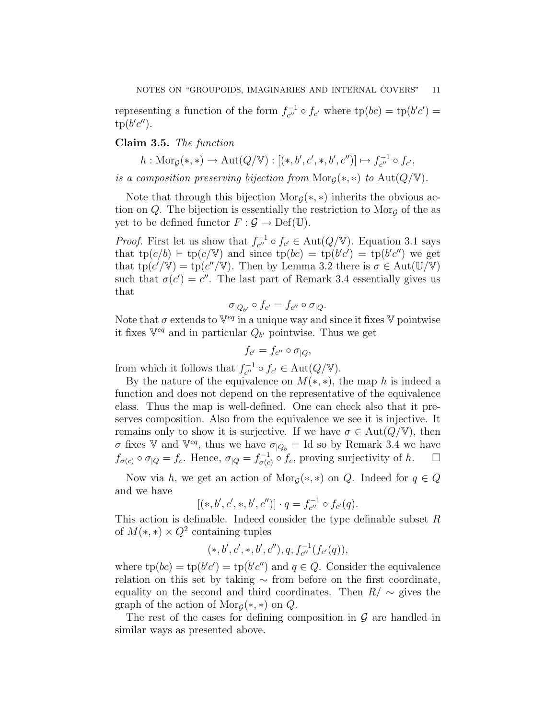representing a function of the form  $f_{c}^{-1}$  $t_{c''}^{-1} \circ f_{c'}$  where  $tp(bc) = tp(b'c') =$  $tp(b'c'').$ 

# Claim 3.5. The function

 $h: \text{Mor}_{\mathcal{G}}(*, *) \to \text{Aut}(Q/\mathbb{V}) : [(*,b',c',*,b',c'')] \mapsto f_{c''}^{-1}$  $C_{c''}^{-1} \circ f_{c'}$ 

is a composition preserving bijection from  $\text{Mor}_{G}(*, *)$  to  $\text{Aut}(Q/\mathbb{V})$ .

Note that through this bijection  $\text{Mor}_{G}(*,*)$  inherits the obvious action on  $Q$ . The bijection is essentially the restriction to Mor<sub>G</sub> of the as yet to be defined functor  $F : \mathcal{G} \to \mathrm{Def}(\mathbb{U}).$ 

*Proof.* First let us show that  $f_{c''}^{-1}$  $c_{c''}^{-1} \circ f_{c'} \in \text{Aut}(Q/\mathbb{V})$ . Equation 3.1 says that  $tp(c/b) \vdash tp(c/\mathbb{V})$  and since  $tp(bc) = tp(b'c') = tp(b'c'')$  we get that  $tp(c'/V) = tp(c''/V)$ . Then by Lemma 3.2 there is  $\sigma \in Aut(U/V)$ such that  $\sigma(c') = c''$ . The last part of Remark 3.4 essentially gives us that

$$
\sigma_{|Q_{b'}} \circ f_{c'} = f_{c''} \circ \sigma_{|Q}.
$$

Note that  $\sigma$  extends to  $\mathbb{V}^{eq}$  in a unique way and since it fixes  $\mathbb {V}$  pointwise it fixes  $\mathbb{V}^{eq}$  and in particular  $Q_{b'}$  pointwise. Thus we get

$$
f_{c'} = f_{c''} \circ \sigma_{|Q},
$$

from which it follows that  $f_{c''}^{-1}$  $c_{c''}^{-1} \circ f_{c'} \in \text{Aut}(Q/\mathbb{V}).$ 

By the nature of the equivalence on  $M(*, *)$ , the map h is indeed a function and does not depend on the representative of the equivalence class. Thus the map is well-defined. One can check also that it preserves composition. Also from the equivalence we see it is injective. It remains only to show it is surjective. If we have  $\sigma \in \text{Aut}(Q/\mathbb{V})$ , then σ fixes V and  $V^{eq}$ , thus we have  $\sigma_{\vert Q_b} =$  Id so by Remark 3.4 we have  $f_{\sigma(c)} \circ \sigma_{\vert Q} = f_c$ . Hence,  $\sigma_{\vert Q} = f_{\sigma(c)}^{-1}$  $\sigma_{\sigma(c)}^{-1} \circ f_c$ , proving surjectivity of h.  $\square$ 

Now via h, we get an action of Mor<sub>g</sub>(\*, \*) on Q. Indeed for  $q \in Q$ and we have

$$
[(*,b',c',*,b',c'')] \cdot q = f_{c'}^{-1} \circ f_{c'}(q).
$$

This action is definable. Indeed consider the type definable subset  $R$ of  $M(*,*) \times Q^2$  containing tuples

$$
(*,b',c',*,b',c''),q,f_{c''}^{-1}(f_{c'}(q)),\\
$$

where  $tp(bc) = tp(b'c') = tp(b'c'')$  and  $q \in Q$ . Consider the equivalence relation on this set by taking ∼ from before on the first coordinate, equality on the second and third coordinates. Then  $R/\sim$  gives the graph of the action of  $\text{Mor}_{\mathcal{G}}(*, *)$  on  $Q$ .

The rest of the cases for defining composition in  $\mathcal G$  are handled in similar ways as presented above.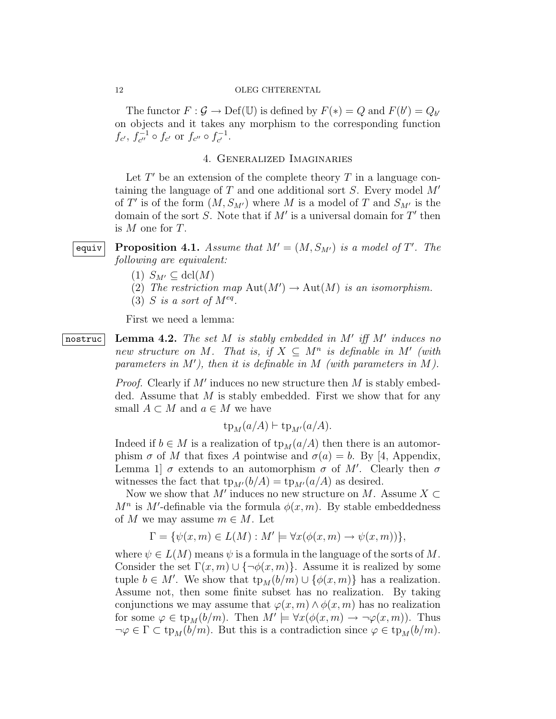The functor  $F : \mathcal{G} \to \mathrm{Def}(\mathbb{U})$  is defined by  $F(*) = Q$  and  $F(b') = Q_{b'}$ on objects and it takes any morphism to the corresponding function  $f_{c'}$ ,  $f_{c''}^{-1}$  $t_{c''}^{-1} \circ f_{c'}$  or  $f_{c''} \circ f_{c'}^{-1}$  $c^{-1}$ .

## 4. Generalized Imaginaries

Let  $T'$  be an extension of the complete theory  $T$  in a language containing the language of  $T$  and one additional sort  $S$ . Every model  $M'$ of T' is of the form  $(M, S_{M'})$  where M is a model of T and  $S_{M'}$  is the domain of the sort S. Note that if  $M'$  is a universal domain for  $T'$  then is M one for T.

equiv Proposition 4.1. Assume that  $M' = (M, S_{M'})$  is a model of T'. The following are equivalent:

- $(1)$   $S_{M'} \subseteq \text{dcl}(M)$
- (2) The restriction map  $\text{Aut}(M') \to \text{Aut}(M)$  is an isomorphism.
- (3) S is a sort of  $M^{eq}$ .

First we need a lemma:

 $\overline{\text{nostruc}}$  Lemma 4.2. The set M is stably embedded in M' iff M' induces no new structure on M. That is, if  $X \subseteq M^n$  is definable in M' (with parameters in  $M'$ ), then it is definable in  $M$  (with parameters in  $M$ ).

> *Proof.* Clearly if  $M'$  induces no new structure then  $M$  is stably embedded. Assume that  $M$  is stably embedded. First we show that for any small  $A \subset M$  and  $a \in M$  we have

$$
\text{tp}_M(a/A) \vdash \text{tp}_{M'}(a/A).
$$

Indeed if  $b \in M$  is a realization of  $tp_M(a/A)$  then there is an automorphism  $\sigma$  of M that fixes A pointwise and  $\sigma(a) = b$ . By [4, Appendix, Lemma 1  $\sigma$  extends to an automorphism  $\sigma$  of M'. Clearly then  $\sigma$ witnesses the fact that  $tp_{M'}(b/A) = tp_{M'}(a/A)$  as desired.

Now we show that  $M'$  induces no new structure on M. Assume  $X \subset$  $M^n$  is M'-definable via the formula  $\phi(x,m)$ . By stable embeddedness of M we may assume  $m \in M$ . Let

$$
\Gamma = \{ \psi(x, m) \in L(M) : M' \models \forall x (\phi(x, m) \rightarrow \psi(x, m)) \},
$$

where  $\psi \in L(M)$  means  $\psi$  is a formula in the language of the sorts of M. Consider the set  $\Gamma(x, m) \cup \{\neg \phi(x, m)\}\.$  Assume it is realized by some tuple  $b \in M'$ . We show that  $tp_M(b/m) \cup \{\phi(x,m)\}\)$  has a realization. Assume not, then some finite subset has no realization. By taking conjunctions we may assume that  $\varphi(x, m) \wedge \varphi(x, m)$  has no realization for some  $\varphi \in \text{tp}_M(b/m)$ . Then  $M' \models \forall x(\phi(x,m) \to \neg \varphi(x,m))$ . Thus  $\neg \varphi \in \Gamma \subset \text{tp}_M(b/m)$ . But this is a contradiction since  $\varphi \in \text{tp}_M(b/m)$ .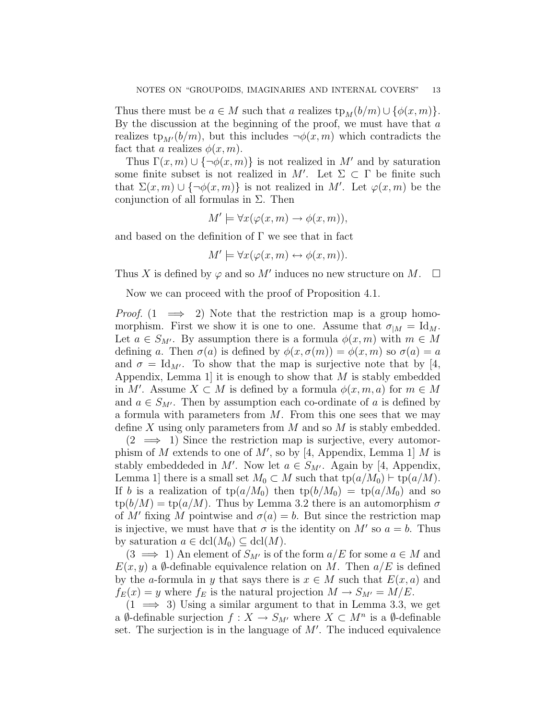Thus there must be  $a \in M$  such that a realizes  $tp_M(b/m) \cup \{\phi(x, m)\}.$ By the discussion at the beginning of the proof, we must have that  $a$ realizes  $tp_{M'}(b/m)$ , but this includes  $\neg \phi(x, m)$  which contradicts the fact that a realizes  $\phi(x, m)$ .

Thus  $\Gamma(x, m) \cup {\neg \phi(x, m)}$  is not realized in M' and by saturation some finite subset is not realized in M'. Let  $\Sigma \subset \Gamma$  be finite such that  $\Sigma(x,m) \cup {\neg \phi(x,m)}$  is not realized in M'. Let  $\varphi(x,m)$  be the conjunction of all formulas in  $\Sigma$ . Then

$$
M' \models \forall x (\varphi(x, m) \to \phi(x, m)),
$$

and based on the definition of  $\Gamma$  we see that in fact

$$
M' \models \forall x (\varphi(x, m) \leftrightarrow \phi(x, m)).
$$

Thus X is defined by  $\varphi$  and so M' induces no new structure on M.  $\square$ 

Now we can proceed with the proof of Proposition 4.1.

*Proof.*  $(1 \implies 2)$  Note that the restriction map is a group homomorphism. First we show it is one to one. Assume that  $\sigma_{|M} = \mathrm{Id}_M$ . Let  $a \in S_{M'}$ . By assumption there is a formula  $\phi(x, m)$  with  $m \in M$ defining a. Then  $\sigma(a)$  is defined by  $\phi(x, \sigma(m)) = \phi(x, m)$  so  $\sigma(a) = a$ and  $\sigma = \text{Id}_{M'}$ . To show that the map is surjective note that by [4, Appendix, Lemma 1 it is enough to show that  $M$  is stably embedded in M'. Assume  $X \subset M$  is defined by a formula  $\phi(x, m, a)$  for  $m \in M$ and  $a \in S_{M'}$ . Then by assumption each co-ordinate of a is defined by a formula with parameters from  $M$ . From this one sees that we may define X using only parameters from  $M$  and so  $M$  is stably embedded.

 $(2 \implies 1)$  Since the restriction map is surjective, every automorphism of M extends to one of  $M'$ , so by [4, Appendix, Lemma 1] M is stably embeddeded in M'. Now let  $a \in S_{M'}$ . Again by [4, Appendix, Lemma 1] there is a small set  $M_0 \subset M$  such that  $tp(a/M_0) \vdash tp(a/M)$ . If b is a realization of  $tp(a/M_0)$  then  $tp(b/M_0) = tp(a/M_0)$  and so  $\text{tp}(b/M) = \text{tp}(a/M)$ . Thus by Lemma 3.2 there is an automorphism  $\sigma$ of M' fixing M pointwise and  $\sigma(a) = b$ . But since the restriction map is injective, we must have that  $\sigma$  is the identity on M' so  $a = b$ . Thus by saturation  $a \in \text{dcl}(M_0) \subseteq \text{dcl}(M)$ .

 $(3 \implies 1)$  An element of  $S_{M'}$  is of the form  $a/E$  for some  $a \in M$  and  $E(x, y)$  a  $\emptyset$ -definable equivalence relation on M. Then  $a/E$  is defined by the a-formula in y that says there is  $x \in M$  such that  $E(x, a)$  and  $f_E(x) = y$  where  $f_E$  is the natural projection  $M \to S_{M'} = M/E$ .

 $(1 \implies 3)$  Using a similar argument to that in Lemma 3.3, we get a Ø-definable surjection  $f: X \to S_{M'}$  where  $X \subset M^n$  is a Ø-definable set. The surjection is in the language of  $M'$ . The induced equivalence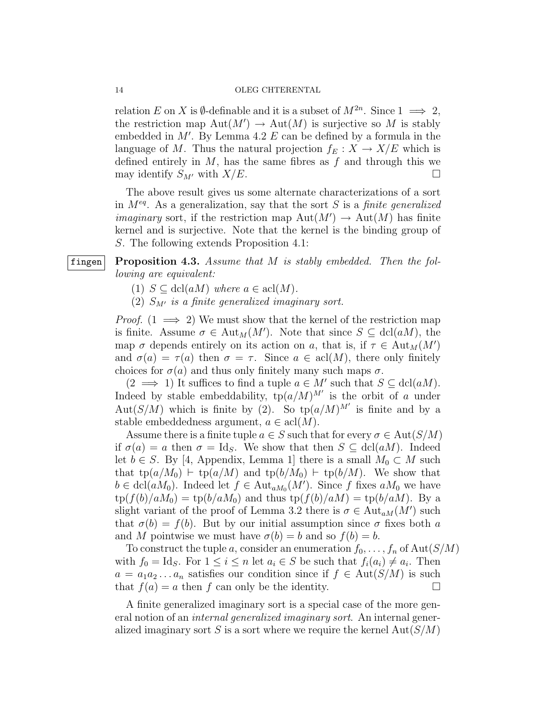relation E on X is  $\emptyset$ -definable and it is a subset of  $M^{2n}$ . Since  $1 \implies 2$ , the restriction map  $\text{Aut}(M') \to \text{Aut}(M)$  is surjective so M is stably embedded in  $M'$ . By Lemma 4.2  $E$  can be defined by a formula in the language of M. Thus the natural projection  $f_E : X \to X/E$  which is defined entirely in  $M$ , has the same fibres as  $f$  and through this we may identify  $S_{M'}$  with  $X/E$ .

The above result gives us some alternate characterizations of a sort in  $M^{eq}$ . As a generalization, say that the sort S is a *finite generalized imaginary* sort, if the restriction map  $\text{Aut}(M') \to \text{Aut}(M)$  has finite kernel and is surjective. Note that the kernel is the binding group of S. The following extends Proposition 4.1:

## fingen Proposition 4.3. Assume that  $M$  is stably embedded. Then the following are equivalent:

- (1)  $S \subseteq \text{dcl}(aM)$  where  $a \in \text{acl}(M)$ .
- (2)  $S_{M'}$  is a finite generalized imaginary sort.

*Proof.*  $(1 \implies 2)$  We must show that the kernel of the restriction map is finite. Assume  $\sigma \in \text{Aut}_M(M')$ . Note that since  $S \subseteq \text{dcl}(aM)$ , the map  $\sigma$  depends entirely on its action on a, that is, if  $\tau \in \text{Aut}_M(M)$ and  $\sigma(a) = \tau(a)$  then  $\sigma = \tau$ . Since  $a \in \text{acl}(M)$ , there only finitely choices for  $\sigma(a)$  and thus only finitely many such maps  $\sigma$ .

 $(2 \implies 1)$  It suffices to find a tuple  $a \in M'$  such that  $S \subseteq \text{dcl}(aM)$ . Indeed by stable embeddability,  $\text{tp}(a/M)^{M'}$  is the orbit of a under Aut(S/M) which is finite by (2). So  $tp(a/M)^{M'}$  is finite and by a stable embeddedness argument,  $a \in \text{acl}(M)$ .

Assume there is a finite tuple  $a \in S$  such that for every  $\sigma \in \text{Aut}(S/M)$ if  $\sigma(a) = a$  then  $\sigma = \text{Id}_S$ . We show that then  $S \subseteq \text{dcl}(aM)$ . Indeed let  $b \in S$ . By [4, Appendix, Lemma 1] there is a small  $M_0 \subset M$  such that  $tp(a/M_0) \vdash tp(a/M)$  and  $tp(b/M_0) \vdash tp(b/M)$ . We show that  $b \in \text{dcl}(aM_0)$ . Indeed let  $f \in \text{Aut}_{aM_0}(M')$ . Since f fixes  $aM_0$  we have  $tp(f(b)/aM_0) = tp(b/aM_0)$  and thus  $tp(f(b)/aM) = tp(b/aM)$ . By a slight variant of the proof of Lemma 3.2 there is  $\sigma \in \text{Aut}_{aM}(M')$  such that  $\sigma(b) = f(b)$ . But by our initial assumption since  $\sigma$  fixes both a and M pointwise we must have  $\sigma(b) = b$  and so  $f(b) = b$ .

To construct the tuple a, consider an enumeration  $f_0, \ldots, f_n$  of  $\text{Aut}(S/M)$ with  $f_0 = \text{Id}_S$ . For  $1 \leq i \leq n$  let  $a_i \in S$  be such that  $f_i(a_i) \neq a_i$ . Then  $a = a_1 a_2 \dots a_n$  satisfies our condition since if  $f \in Aut(S/M)$  is such that  $f(a) = a$  then f can only be the identity.

A finite generalized imaginary sort is a special case of the more general notion of an internal generalized imaginary sort. An internal generalized imaginary sort  $S$  is a sort where we require the kernel  $Aut(S/M)$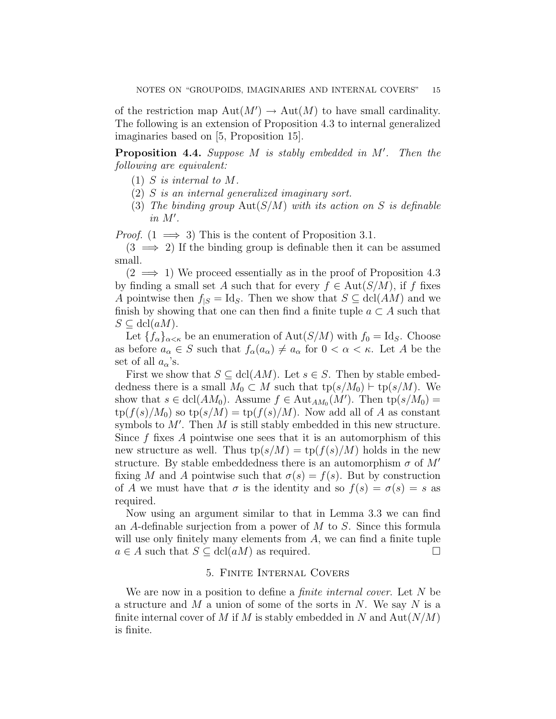of the restriction map  $\text{Aut}(M') \to \text{Aut}(M)$  to have small cardinality. The following is an extension of Proposition 4.3 to internal generalized imaginaries based on [5, Proposition 15].

**Proposition 4.4.** Suppose  $M$  is stably embedded in  $M'$ . Then the following are equivalent:

- $(1)$  S is internal to M.
- (2) S is an internal generalized imaginary sort.
- (3) The binding group  $Aut(S/M)$  with its action on S is definable  $in M'.$

*Proof.*  $(1 \implies 3)$  This is the content of Proposition 3.1.

 $(3 \implies 2)$  If the binding group is definable then it can be assumed small.

 $(2 \implies 1)$  We proceed essentially as in the proof of Proposition 4.3 by finding a small set A such that for every  $f \in Aut(S/M)$ , if f fixes A pointwise then  $f_{|S} = \text{Id}_S$ . Then we show that  $S \subseteq \text{dcl}(AM)$  and we finish by showing that one can then find a finite tuple  $a \subset A$  such that  $S \subseteq \text{dcl}(aM)$ .

Let  ${f_\alpha}_{\alpha<\kappa}$  be an enumeration of  ${\rm Aut}(S/M)$  with  $f_0 = \text{Id}_S$ . Choose as before  $a_{\alpha} \in S$  such that  $f_{\alpha}(a_{\alpha}) \neq a_{\alpha}$  for  $0 < \alpha < \kappa$ . Let A be the set of all  $a_{\alpha}$ 's.

First we show that  $S \subseteq \text{dcl}(AM)$ . Let  $s \in S$ . Then by stable embeddedness there is a small  $M_0 \subset M$  such that  $tp(s/M_0) \vdash tp(s/M)$ . We show that  $s \in \text{dcl}(AM_0)$ . Assume  $f \in \text{Aut}_{AM_0}(M')$ . Then  $\text{tp}(s/M_0) =$  $tp(f(s)/M_0)$  so  $tp(s/M) = tp(f(s)/M)$ . Now add all of A as constant symbols to  $M'$ . Then  $M$  is still stably embedded in this new structure. Since  $f$  fixes  $\tilde{A}$  pointwise one sees that it is an automorphism of this new structure as well. Thus  $tp(s/M) = tp(f(s)/M)$  holds in the new structure. By stable embeddedness there is an automorphism  $\sigma$  of M' fixing M and A pointwise such that  $\sigma(s) = f(s)$ . But by construction of A we must have that  $\sigma$  is the identity and so  $f(s) = \sigma(s) = s$  as required.

Now using an argument similar to that in Lemma 3.3 we can find an A-definable surjection from a power of  $M$  to  $S$ . Since this formula will use only finitely many elements from  $A$ , we can find a finite tuple  $a \in A$  such that  $S \subseteq \text{dcl}(aM)$  as required.

## 5. Finite Internal Covers

We are now in a position to define a *finite internal cover*. Let N be a structure and  $M$  a union of some of the sorts in  $N$ . We say  $N$  is a finite internal cover of M if M is stably embedded in N and  $Aut(N/M)$ is finite.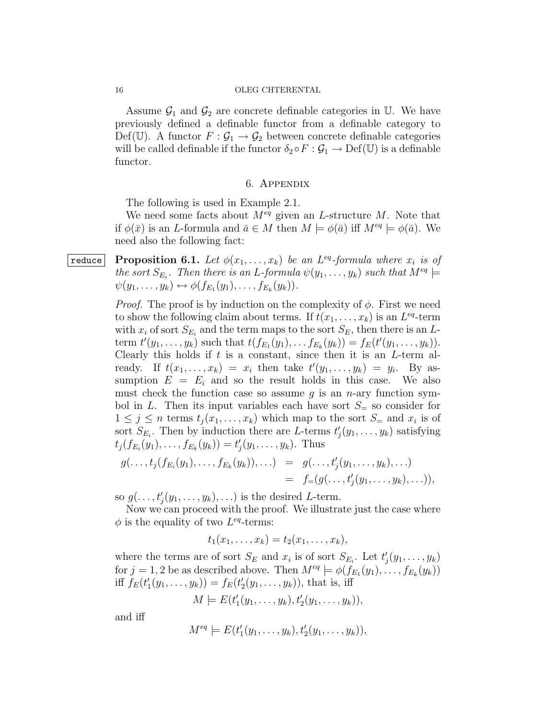Assume  $\mathcal{G}_1$  and  $\mathcal{G}_2$  are concrete definable categories in U. We have previously defined a definable functor from a definable category to Def(U). A functor  $F: \mathcal{G}_1 \to \mathcal{G}_2$  between concrete definable categories will be called definable if the functor  $\delta_2 \circ F : \mathcal{G}_1 \to \mathrm{Def}(\mathbb{U})$  is a definable functor.

## 6. Appendix

The following is used in Example 2.1.

We need some facts about  $M^{eq}$  given an L-structure M. Note that if  $\phi(\bar{x})$  is an *L*-formula and  $\bar{a} \in M$  then  $M \models \phi(\bar{a})$  iff  $M^{eq} \models \phi(\bar{a})$ . We need also the following fact:

**reduce** Proposition 6.1. Let  $\phi(x_1, \ldots, x_k)$  be an L<sup>eq</sup>-formula where  $x_i$  is of the sort  $S_{E_i}$ . Then there is an L-formula  $\psi(y_1,\ldots,y_k)$  such that  $M^{eq} \models$  $\psi(y_1,\ldots,y_k) \leftrightarrow \phi(f_{E_1}(y_1),\ldots,f_{E_k}(y_k)).$ 

> *Proof.* The proof is by induction on the complexity of  $\phi$ . First we need to show the following claim about terms. If  $t(x_1, \ldots, x_k)$  is an  $L^{eq}$ -term with  $x_i$  of sort  $S_{E_i}$  and the term maps to the sort  $S_E$ , then there is an Lterm  $t'(y_1, \ldots, y_k)$  such that  $t(f_{E_1}(y_1), \ldots, f_{E_k}(y_k)) = f_E(t'(y_1, \ldots, y_k)).$ Clearly this holds if  $t$  is a constant, since then it is an  $L$ -term already. If  $t(x_1, \ldots, x_k) = x_i$  then take  $t'(y_1, \ldots, y_k) = y_i$ . By assumption  $E = E_i$  and so the result holds in this case. We also must check the function case so assume g is an  $n$ -ary function symbol in L. Then its input variables each have sort  $S_$  so consider for  $1 \leq j \leq n$  terms  $t_j(x_1, \ldots, x_k)$  which map to the sort  $S$ <sub>=</sub> and  $x_i$  is of sort  $S_{E_i}$ . Then by induction there are L-terms  $t'_j(y_1,\ldots,y_k)$  satisfying  $t_j(f_{E_i}(y_1),...,f_{E_k}(y_k))=t'_j(y_1,...,y_k).$  Thus

$$
g(\ldots,t_j(f_{E_i}(y_1),\ldots,f_{E_k}(y_k)),\ldots) = g(\ldots,t'_j(y_1,\ldots,y_k),\ldots) = f=(g(\ldots,t'_j(y_1,\ldots,y_k),\ldots)),
$$

so  $g(\ldots,t'_j(y_1,\ldots,y_k),\ldots)$  is the desired L-term.

Now we can proceed with the proof. We illustrate just the case where  $\phi$  is the equality of two  $L^{eq}$ -terms:

$$
t_1(x_1,\ldots,x_k)=t_2(x_1,\ldots,x_k),
$$

where the terms are of sort  $S_E$  and  $x_i$  is of sort  $S_{E_i}$ . Let  $t'_j(y_1, \ldots, y_k)$ for  $j = 1, 2$  be as described above. Then  $M^{eq} \models \phi(f_{E_1}(y_1), \ldots, f_{E_k}(y_k))$ iff  $f_E(t'_1(y_1,\ldots,y_k)) = f_E(t'_2(y_1,\ldots,y_k))$ , that is, iff

$$
M \models E(t'_1(y_1,\ldots,y_k),t'_2(y_1,\ldots,y_k)),
$$

and iff

$$
M^{eq} \models E(t'_1(y_1,\ldots,y_k), t'_2(y_1,\ldots,y_k)),
$$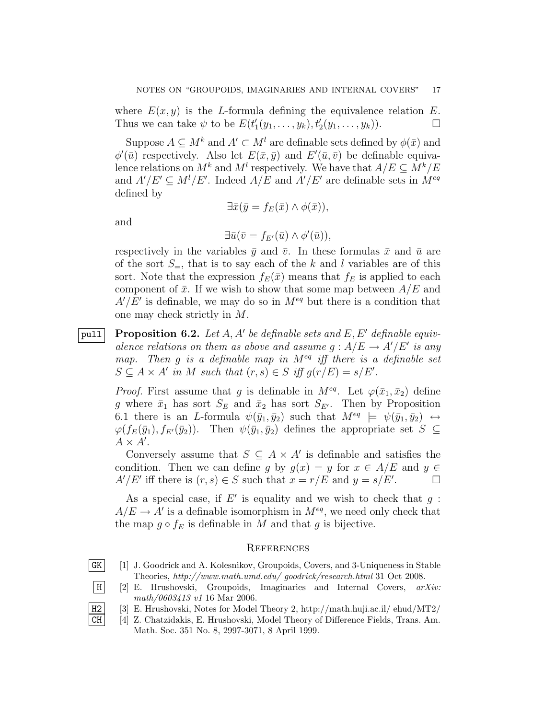where  $E(x, y)$  is the L-formula defining the equivalence relation E. Thus we can take  $\psi$  to be  $E(t'_1(y_1,\ldots,y_k), t'_2(y_1,\ldots,y_k)).$ 

Suppose  $A \subseteq M^k$  and  $A' \subseteq M^l$  are definable sets defined by  $\phi(\bar{x})$  and  $\phi'(\bar{u})$  respectively. Also let  $E(\bar{x}, \bar{y})$  and  $E'(\bar{u}, \bar{v})$  be definable equivalence relations on  $M^k$  and  $M^l$  respectively. We have that  $A/E \subseteq M^k/E$ and  $A'/E' \subseteq M^l/E'$ . Indeed  $A/E$  and  $A'/E'$  are definable sets in  $M^{eq}$ defined by

$$
\exists \bar{x}(\bar{y} = f_E(\bar{x}) \land \phi(\bar{x})),
$$

and

$$
\exists \bar{u}(\bar{v} = f_{E'}(\bar{u}) \wedge \phi'(\bar{u})),
$$

respectively in the variables  $\bar{y}$  and  $\bar{v}$ . In these formulas  $\bar{x}$  and  $\bar{u}$  are of the sort  $S_$ , that is to say each of the k and l variables are of this sort. Note that the expression  $f_E(\bar{x})$  means that  $f_E$  is applied to each component of  $\bar{x}$ . If we wish to show that some map between  $A/E$  and  $A'/E'$  is definable, we may do so in  $M^{eq}$  but there is a condition that one may check strictly in M.

pull Proposition 6.2. Let A, A' be definable sets and E, E' definable equivalence relations on them as above and assume  $g : A/E \to A'/E'$  is any map. Then g is a definable map in  $M^{eq}$  iff there is a definable set  $S \subseteq A \times A'$  in M such that  $(r, s) \in S$  iff  $g(r/E) = s/E'.$ 

*Proof.* First assume that g is definable in  $M^{eq}$ . Let  $\varphi(\bar{x}_1, \bar{x}_2)$  define g where  $\bar{x}_1$  has sort  $S_E$  and  $\bar{x}_2$  has sort  $S_{E'}$ . Then by Proposition 6.1 there is an *L*-formula  $\psi(\bar{y}_1, \bar{y}_2)$  such that  $M^{eq} \models \psi(\bar{y}_1, \bar{y}_2) \leftrightarrow$  $\varphi(f_E(\bar{y}_1), f_{E'}(\bar{y}_2)).$  Then  $\psi(\bar{y}_1, \bar{y}_2)$  defines the appropriate set  $S \subseteq$  $A \times A'$ .

Conversely assume that  $S \subseteq A \times A'$  is definable and satisfies the condition. Then we can define g by  $g(x) = y$  for  $x \in A/E$  and  $y \in$  $A'/E'$  iff there is  $(r, s) \in S$  such that  $x = r/E$  and  $y = s/E'$  $\Box$ 

As a special case, if  $E'$  is equality and we wish to check that  $g$ :  $A/E \rightarrow A'$  is a definable isomorphism in  $M^{eq}$ , we need only check that the map  $g \circ f_E$  is definable in M and that g is bijective.

## **REFERENCES**

- GK [1] J. Goodrick and A. Kolesnikov, Groupoids, Covers, and 3-Uniqueness in Stable Theories, http://www.math.umd.edu/ goodrick/research.html 31 Oct 2008.
- H [2] E. Hrushovski, Groupoids, Imaginaries and Internal Covers, arXiv: math/0603413 v1 16 Mar 2006.
- H2 [3] E. Hrushovski, Notes for Model Theory 2, http://math.huji.ac.il/ ehud/MT2/
- CH [4] Z. Chatzidakis, E. Hrushovski, Model Theory of Difference Fields, Trans. Am. Math. Soc. 351 No. 8, 2997-3071, 8 April 1999.